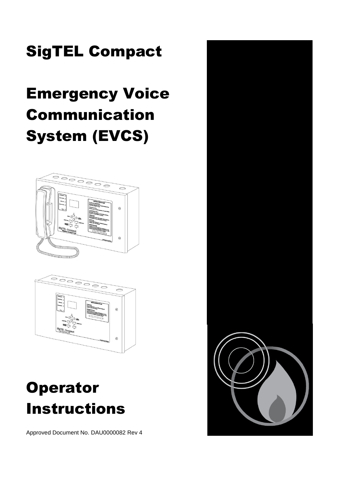# SigTEL Compact

# Emergency Voice Communication System (EVCS)





# **Operator** Instructions

Approved Document No. DAU0000082 Rev 4

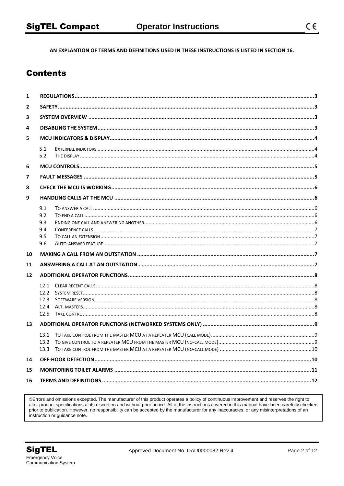AN EXPLANTION OF TERMS AND DEFINITIONS USED IN THESE INSTRUCTIONS IS LISTED IN SECTION 16.

## **Contents**

| 1              |                      |  |  |  |  |
|----------------|----------------------|--|--|--|--|
| $\overline{2}$ |                      |  |  |  |  |
| 3              |                      |  |  |  |  |
| 4              |                      |  |  |  |  |
| 5              |                      |  |  |  |  |
|                | 5.1<br>5.2           |  |  |  |  |
| 6              |                      |  |  |  |  |
| 7              |                      |  |  |  |  |
| 8              |                      |  |  |  |  |
| 9              |                      |  |  |  |  |
|                | 9.1<br>9.2           |  |  |  |  |
|                | 9.3                  |  |  |  |  |
|                | 9.4<br>9.5           |  |  |  |  |
|                | 9.6                  |  |  |  |  |
| 10             |                      |  |  |  |  |
| 11             |                      |  |  |  |  |
| 12             |                      |  |  |  |  |
|                | 12.1<br>12.2<br>12.3 |  |  |  |  |
|                |                      |  |  |  |  |
| 13             |                      |  |  |  |  |
|                |                      |  |  |  |  |
| 14             |                      |  |  |  |  |
| 15             |                      |  |  |  |  |
| 16             |                      |  |  |  |  |
|                |                      |  |  |  |  |

©Errors and omissions excepted. The manufacturer of this product operates a policy of continuous improvement and reserves the right to alter product specifications at its discretion and without prior notice. All of the instructions covered in this manual have been carefully checked prior to publication. However, no responsibility can be accepted by the manufacturer for any inaccuracies, or any misinterpretations of an instruction or guidance note.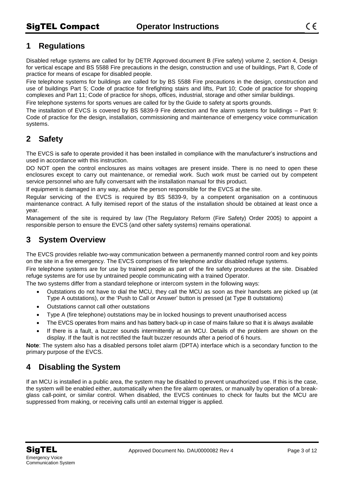## <span id="page-2-0"></span>**1 Regulations**

Disabled refuge systems are called for by DETR Approved document B (Fire safety) volume 2, section 4, Design for vertical escape and BS 5588 Fire precautions in the design, construction and use of buildings, Part 8, Code of practice for means of escape for disabled people.

Fire telephone systems for buildings are called for by BS 5588 Fire precautions in the design, construction and use of buildings Part 5; Code of practice for firefighting stairs and lifts, Part 10; Code of practice for shopping complexes and Part 11; Code of practice for shops, offices, industrial, storage and other similar buildings.

Fire telephone systems for sports venues are called for by the Guide to safety at sports grounds.

The installation of EVCS is covered by BS 5839-9 Fire detection and fire alarm systems for buildings – Part 9: Code of practice for the design, installation, commissioning and maintenance of emergency voice communication systems.

## <span id="page-2-1"></span>**2 Safety**

The EVCS is safe to operate provided it has been installed in compliance with the manufacturer's instructions and used in accordance with this instruction.

DO NOT open the control enclosures as mains voltages are present inside. There is no need to open these enclosures except to carry out maintenance, or remedial work. Such work must be carried out by competent service personnel who are fully conversant with the installation manual for this product.

If equipment is damaged in any way, advise the person responsible for the EVCS at the site.

Regular servicing of the EVCS is required by BS 5839-9, by a competent organisation on a continuous maintenance contract. A fully itemised report of the status of the installation should be obtained at least once a year.

Management of the site is required by law (The Regulatory Reform (Fire Safety) Order 2005) to appoint a responsible person to ensure the EVCS (and other safety systems) remains operational.

## <span id="page-2-2"></span>**3 System Overview**

The EVCS provides reliable two-way communication between a permanently manned control room and key points on the site in a fire emergency. The EVCS comprises of fire telephone and/or disabled refuge systems.

Fire telephone systems are for use by trained people as part of the fire safety procedures at the site. Disabled refuge systems are for use by untrained people communicating with a trained Operator.

The two systems differ from a standard telephone or intercom system in the following ways:

- Outstations do not have to dial the MCU, they call the MCU as soon as their handsets are picked up (at Type A outstations), or the 'Push to Call or Answer' button is pressed (at Type B outstations)
- Outstations cannot call other outstations
- Type A (fire telephone) outstations may be in locked housings to prevent unauthorised access
- The EVCS operates from mains and has battery back-up in case of mains failure so that it is always available
- If there is a fault, a buzzer sounds intermittently at an MCU. Details of the problem are shown on the display. If the fault is not rectified the fault buzzer resounds after a period of 6 hours.

**Note**: The system also has a disabled persons toilet alarm (DPTA) interface which is a secondary function to the primary purpose of the EVCS.

## <span id="page-2-3"></span>**4 Disabling the System**

If an MCU is installed in a public area, the system may be disabled to prevent unauthorized use. If this is the case, the system will be enabled either, automatically when the fire alarm operates, or manually by operation of a breakglass call-point, or similar control. When disabled, the EVCS continues to check for faults but the MCU are suppressed from making, or receiving calls until an external trigger is applied.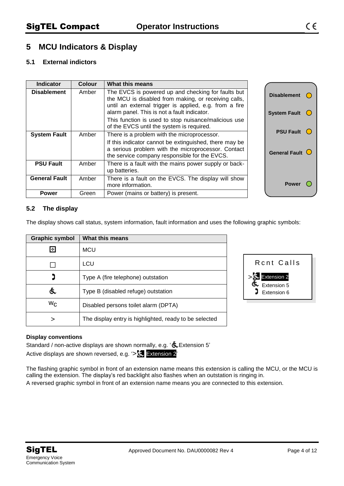## <span id="page-3-0"></span>**5 MCU Indicators & Display**

#### <span id="page-3-1"></span>**5.1 External indictors**

| <b>Indicator</b>     | <b>Colour</b> | What this means                                                                                                                                                                                                                                                                                                          |                                      |
|----------------------|---------------|--------------------------------------------------------------------------------------------------------------------------------------------------------------------------------------------------------------------------------------------------------------------------------------------------------------------------|--------------------------------------|
| <b>Disablement</b>   | Amber         | The EVCS is powered up and checking for faults but<br>the MCU is disabled from making, or receiving calls,<br>until an external trigger is applied, e.g. from a fire<br>alarm panel. This is not a fault indicator.<br>This function is used to stop nuisance/malicious use<br>of the EVCS until the system is required. | <b>Disablement</b><br>System Fault ( |
| <b>System Fault</b>  | Amber         | There is a problem with the microprocessor.                                                                                                                                                                                                                                                                              | <b>PSU Fault</b>                     |
|                      |               | If this indicator cannot be extinguished, there may be<br>a serious problem with the microprocessor. Contact<br>the service company responsible for the EVCS.                                                                                                                                                            | General Fault $\bigcirc$             |
| <b>PSU Fault</b>     | Amber         | There is a fault with the mains power supply or back-<br>up batteries.                                                                                                                                                                                                                                                   |                                      |
| <b>General Fault</b> | Amber         | There is a fault on the EVCS. The display will show<br>more information.                                                                                                                                                                                                                                                 | <b>Power</b>                         |
| <b>Power</b>         | Green         | Power (mains or battery) is present.                                                                                                                                                                                                                                                                                     |                                      |

#### <span id="page-3-2"></span>**5.2 The display**

The display shows call status, system information, fault information and uses the following graphic symbols:

| <b>Graphic symbol</b> | What this means                                        |
|-----------------------|--------------------------------------------------------|
| ⊡                     | <b>MCU</b>                                             |
|                       | LCU                                                    |
| נ                     | Type A (fire telephone) outstation                     |
| 氐                     | Type B (disabled refuge) outstation                    |
| $W_{C}$               | Disabled persons toilet alarm (DPTA)                   |
| ⋗                     | The display entry is highlighted, ready to be selected |



#### **Display conventions**

Standard / non-active displays are shown normally, e.g. ' $\bigoplus$  Extension 5' Active displays are shown reversed, e.g. '> Extension 2''

The flashing graphic symbol in front of an extension name means this extension is calling the MCU, or the MCU is calling the extension. The display's red backlight also flashes when an outstation is ringing in. A reversed graphic symbol in front of an extension name means you are connected to this extension.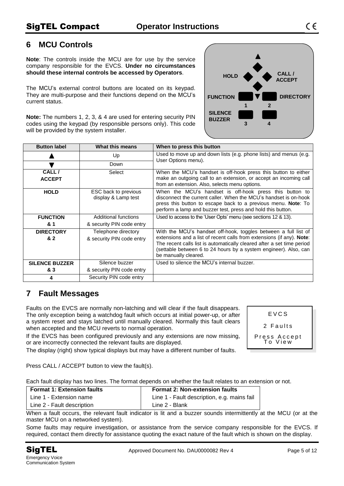## <span id="page-4-0"></span>**6 MCU Controls**

**Note**: The controls inside the MCU are for use by the service company responsible for the EVCS. **Under no circumstances should these internal controls be accessed by Operators**.

The MCU's external control buttons are located on its keypad. They are multi-purpose and their functions depend on the MCU's current status.

**Note:** The numbers 1, 2, 3, & 4 are used for entering security PIN codes using the keypad (by responsible persons only). This code will be provided by the system installer.

| <b>Button label</b>   | What this means                             | When to press this button                                                                                                                                                                                                                                           |  |
|-----------------------|---------------------------------------------|---------------------------------------------------------------------------------------------------------------------------------------------------------------------------------------------------------------------------------------------------------------------|--|
|                       | Up                                          | Used to move up and down lists (e.g. phone lists) and menus (e.g.<br>User Options menu).                                                                                                                                                                            |  |
|                       | Down                                        |                                                                                                                                                                                                                                                                     |  |
| CALL/                 | Select                                      | When the MCU's handset is off-hook press this button to either                                                                                                                                                                                                      |  |
| <b>ACCEPT</b>         |                                             | make an outgoing call to an extension, or accept an incoming call<br>from an extension. Also, selects menu options.                                                                                                                                                 |  |
| <b>HOLD</b>           | ESC back to previous<br>display & Lamp test | When the MCU's handset is off-hook press this button to<br>disconnect the current caller. When the MCU's handset is on-hook<br>press this button to escape back to a previous menu. <b>Note</b> : To<br>perform a lamp and buzzer test, press and hold this button. |  |
| <b>FUNCTION</b>       | Additional functions                        | Used to access to the 'User Opts' menu (see sections 12 & 13).                                                                                                                                                                                                      |  |
| & 1                   | & security PIN code entry                   |                                                                                                                                                                                                                                                                     |  |
| <b>DIRECTORY</b>      | Telephone directory                         | With the MCU's handset off-hook, toggles between a full list of                                                                                                                                                                                                     |  |
| & 2                   | & security PIN code entry                   | extensions and a list of recent calls from extensions (if any). Note:<br>The recent calls list is automatically cleared after a set time period<br>(settable between 6 to 24 hours by a system engineer). Also, can<br>be manually cleared.                         |  |
| <b>SILENCE BUZZER</b> | Silence buzzer                              | Used to silence the MCU's internal buzzer.                                                                                                                                                                                                                          |  |
| & 3                   | & security PIN code entry                   |                                                                                                                                                                                                                                                                     |  |
| 4                     | Security PIN code entry                     |                                                                                                                                                                                                                                                                     |  |

## <span id="page-4-1"></span>**7 Fault Messages**

Faults on the EVCS are normally non-latching and will clear if the fault disappears. The only exception being a watchdog fault which occurs at initial power-up, or after a system reset and stays latched until manually cleared. Normally this fault clears when accepted and the MCU reverts to normal operation.

If the EVCS has been configured previously and any extensions are now missing, or are incorrectly connected the relevant faults are displayed.

| FVCS                    |  |  |
|-------------------------|--|--|
| 2 Faults                |  |  |
| Press Accept<br>To View |  |  |

The display (right) show typical displays but may have a different number of faults.

Press CALL / ACCEPT button to view the fault(s).

Each fault display has two lines. The format depends on whether the fault relates to an extension or not.

| Format 1: Extension faults | <b>Format 2: Non-extension faults</b>       |
|----------------------------|---------------------------------------------|
| Line 1 - Extension name    | Line 1 - Fault description, e.g. mains fail |
| Line 2 - Fault description | Line 2 - Blank                              |

When a fault occurs, the relevant fault indicator is lit and a buzzer sounds intermittently at the MCU (or at the master MCU on a networked system).

Some faults may require investigation, or assistance from the service company responsible for the EVCS. If required, contact them directly for assistance quoting the exact nature of the fault which is shown on the display.

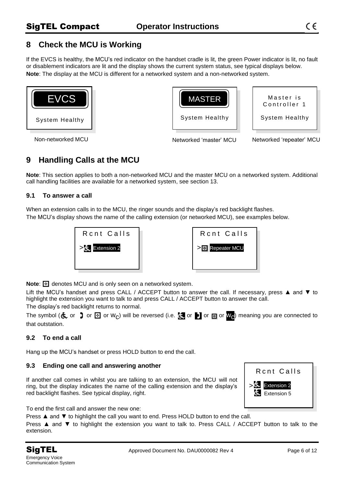## <span id="page-5-0"></span>**8 Check the MCU is Working**

If the EVCS is healthy, the MCU's red indicator on the handset cradle is lit, the green Power indicator is lit, no fault or disablement indicators are lit and the display shows the current system status, see typical displays below. **Note**: The display at the MCU is different for a networked system and a non-networked system.





Master is Controller 1

System Healthy

Non-networked MCU Networked 'master' MCU Networked 'repeater' MCU

## <span id="page-5-1"></span>**9 Handling Calls at the MCU**

**Note**: This section applies to both a non-networked MCU and the master MCU on a networked system. Additional call handling facilities are available for a networked system, see section 13.

#### <span id="page-5-2"></span>**9.1 To answer a call**

When an extension calls in to the MCU, the ringer sounds and the display's red backlight flashes. The MCU's display shows the name of the calling extension (or networked MCU), see examples below.



**Note: denotes MCU** and is only seen on a networked system.

Lift the MCU's handset and press CALL / ACCEPT button to answer the call. If necessary, press ▲ and ▼ to highlight the extension you want to talk to and press CALL / ACCEPT button to answer the call. The display's red backlight returns to normal.

The symbol ( $\&$  or  $\Box$  or  $\boxdot$  or  $w_C$ ) will be reversed (i.e.  $\Box$  or  $\square$  or  $\square$  or  $w_C$ ) meaning you are connected to that outstation.

### <span id="page-5-3"></span>**9.2 To end a call**

Hang up the MCU's handset or press HOLD button to end the call.

#### <span id="page-5-4"></span>**9.3 Ending one call and answering another**

If another call comes in whilst you are talking to an extension, the MCU will not ring, but the display indicates the name of the calling extension and the display's red backlight flashes. See typical display, right.



To end the first call and answer the new one:

Press ▲ and ▼ to highlight the call you want to end. Press HOLD button to end the call.

Press ▲ and ▼ to highlight the extension you want to talk to. Press CALL / ACCEPT button to talk to the extension.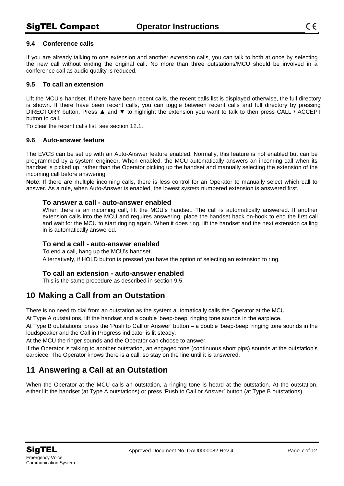#### <span id="page-6-0"></span>**9.4 Conference calls**

If you are already talking to one extension and another extension calls, you can talk to both at once by selecting the new call without ending the original call. No more than three outstations/MCU should be involved in a conference call as audio quality is reduced.

#### <span id="page-6-1"></span>**9.5 To call an extension**

Lift the MCU's handset. If there have been recent calls, the recent calls list is displayed otherwise, the full directory is shown. If there have been recent calls, you can toggle between recent calls and full directory by pressing DIRECTORY button. Press ▲ and ▼ to highlight the extension you want to talk to then press CALL / ACCEPT button to call.

To clear the recent calls list, see section 12.1.

#### <span id="page-6-2"></span>**9.6 Auto-answer feature**

The EVCS can be set up with an Auto-Answer feature enabled. Normally, this feature is not enabled but can be programmed by a system engineer. When enabled, the MCU automatically answers an incoming call when its handset is picked up, rather than the Operator picking up the handset and manually selecting the extension of the incoming call before answering.

**Note**: If there are multiple incoming calls, there is less control for an Operator to manually select which call to answer. As a rule, when Auto-Answer is enabled, the lowest *system* numbered extension is answered first.

#### **To answer a call - auto-answer enabled**

When there is an incoming call, lift the MCU's handset. The call is automatically answered. If another extension calls into the MCU and requires answering, place the handset back on-hook to end the first call and wait for the MCU to start ringing again. When it does ring, lift the handset and the next extension calling in is automatically answered.

#### **To end a call - auto-answer enabled**

To end a call, hang up the MCU's handset. Alternatively, if HOLD button is pressed you have the option of selecting an extension to ring.

#### **To call an extension - auto-answer enabled**

This is the same procedure as described in section 9.5.

### <span id="page-6-3"></span>**10 Making a Call from an Outstation**

There is no need to dial from an outstation as the system automatically calls the Operator at the MCU.

At Type A outstations, lift the handset and a double 'beep-beep' ringing tone sounds in the earpiece.

At Type B outstations, press the 'Push to Call or Answer' button – a double 'beep-beep' ringing tone sounds in the loudspeaker and the Call in Progress indicator is lit steady.

At the MCU the ringer sounds and the Operator can choose to answer.

If the Operator is talking to another outstation, an engaged tone (continuous short pips) sounds at the outstation's earpiece. The Operator knows there is a call, so stay on the line until it is answered.

## <span id="page-6-4"></span>**11 Answering a Call at an Outstation**

When the Operator at the MCU calls an outstation, a ringing tone is heard at the outstation. At the outstation, either lift the handset (at Type A outstations) or press 'Push to Call or Answer' button (at Type B outstations).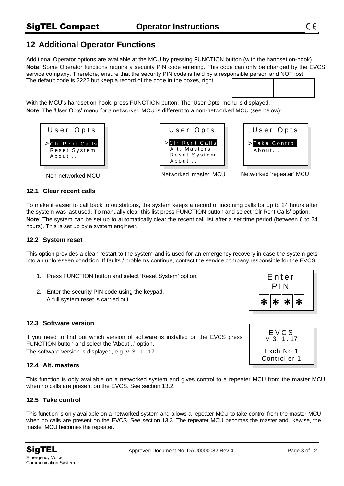## <span id="page-7-0"></span>**12 Additional Operator Functions**

Additional Operator options are available at the MCU by pressing FUNCTION button (with the handset on-hook). **Note**: Some Operator functions require a security PIN code entering. This code can only be changed by the EVCS service company. Therefore, ensure that the security PIN code is held by a responsible person and NOT lost. The default code is 2222 but keep a record of the code in the boxes, right.

With the MCU's handset on-hook, press FUNCTION button. The 'User Opts' menu is displayed. **Note**: The 'User Opts' menu for a networked MCU is different to a non-networked MCU (see below):







Non-networked MCU Networked 'master' MCU Networked 'repeater' MCU

#### <span id="page-7-1"></span>**12.1 Clear recent calls**

To make it easier to call back to outstations, the system keeps a record of incoming calls for up to 24 hours after the system was last used. To manually clear this list press FUNCTION button and select 'Clr Rcnt Calls' option. **Note**: The system can be set up to automatically clear the recent call list after a set time period (between 6 to 24 hours). This is set up by a system engineer.

#### <span id="page-7-2"></span>**12.2 System reset**

This option provides a clean restart to the system and is used for an emergency recovery in case the system gets into an unforeseen condition. If faults / problems continue, contact the service company responsible for the EVCS.

- 1. Press FUNCTION button and select 'Reset System' option.
- 2. Enter the security PIN code using the keypad. A full system reset is carried out.

<span id="page-7-3"></span>

If you need to find out which version of software is installed on the EVCS press FUNCTION button and select the 'About...' option.

The software version is displayed, e.g. v 3 . 1 . 17.

#### <span id="page-7-4"></span>**12.4 Alt. masters**

This function is only available on a networked system and gives control to a repeater MCU from the master MCU when no calls are present on the EVCS. See section 13.2.

#### <span id="page-7-5"></span>**12.5 Take control**

This function is only available on a networked system and allows a repeater MCU to take control from the master MCU when no calls are present on the EVCS. See section 13.3. The repeater MCU becomes the master and likewise, the master MCU becomes the repeater.



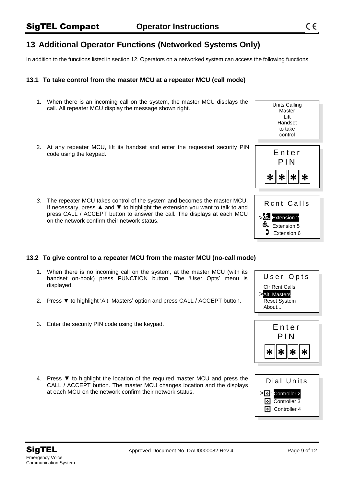## <span id="page-8-0"></span>**13 Additional Operator Functions (Networked Systems Only)**

In addition to the functions listed in section 12, Operators on a networked system can access the following functions.

#### <span id="page-8-1"></span>**13.1 To take control from the master MCU at a repeater MCU (call mode)**

- 1. When there is an incoming call on the system, the master MCU displays the call. All repeater MCU display the message shown right.
- 2. At any repeater MCU, lift its handset and enter the requested security PIN code using the keypad.
- *3.* The repeater MCU takes control of the system and becomes the master MCU. If necessary, press  $\triangle$  and  $\nabla$  to highlight the extension you want to talk to and press CALL / ACCEPT button to answer the call. The displays at each MCU on the network confirm their network status.

#### <span id="page-8-2"></span>**13.2 To give control to a repeater MCU from the master MCU (no-call mode)**

- 1. When there is no incoming call on the system, at the master MCU (with its handset on-hook) press FUNCTION button. The 'User Opts' menu is displayed.
- 2. Press ▼ to highlight 'Alt. Masters' option and press CALL / ACCEPT button.
- 3. Enter the security PIN code using the keypad.
- 4. Press ▼ to highlight the location of the required master MCU and press the CALL / ACCEPT button. The master MCU changes location and the displays at each MCU on the network confirm their network status.





Units Calling Master Lift Handset to take





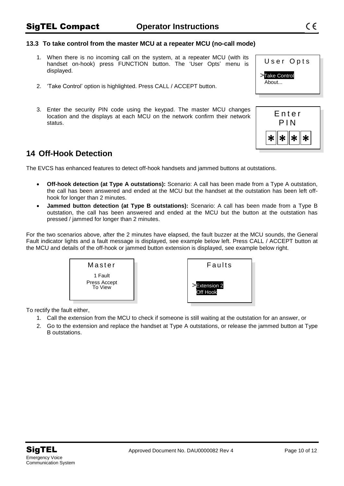#### <span id="page-9-0"></span>**13.3 To take control from the master MCU at a repeater MCU (no-call mode)**

- 1. When there is no incoming call on the system, at a repeater MCU (with its handset on-hook) press FUNCTION button. The 'User Opts' menu is displayed.
- 2. 'Take Control' option is highlighted. Press CALL / ACCEPT button.
- 3. Enter the security PIN code using the keypad. The master MCU changes location and the displays at each MCU on the network confirm their network status.

## <span id="page-9-1"></span>**14 Off-Hook Detection**

The EVCS has enhanced features to detect off-hook handsets and jammed buttons at outstations.

- **Off-hook detection (at Type A outstations):** Scenario: A call has been made from a Type A outstation, the call has been answered and ended at the MCU but the handset at the outstation has been left offhook for longer than 2 minutes.
- **Jammed button detection (at Type B outstations):** Scenario: A call has been made from a Type B outstation, the call has been answered and ended at the MCU but the button at the outstation has pressed / jammed for longer than 2 minutes.

For the two scenarios above, after the 2 minutes have elapsed, the fault buzzer at the MCU sounds, the General Fault indicator lights and a fault message is displayed, see example below left. Press CALL / ACCEPT button at the MCU and details of the off-hook or jammed button extension is displayed, see example below right.



To rectify the fault either,

- 1. Call the extension from the MCU to check if someone is still waiting at the outstation for an answer, or
- 2. Go to the extension and replace the handset at Type A outstations, or release the jammed button at Type B outstations.

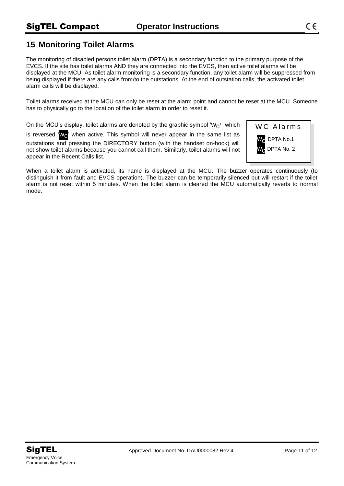## <span id="page-10-0"></span>**15 Monitoring Toilet Alarms**

The monitoring of disabled persons toilet alarm (DPTA) is a secondary function to the primary purpose of the EVCS. If the site has toilet alarms AND they are connected into the EVCS, then active toilet alarms will be displayed at the MCU. As toilet alarm monitoring is a secondary function, any toilet alarm will be suppressed from being displayed if there are any calls from/to the outstations. At the end of outstation calls, the activated toilet alarm calls will be displayed.

Toilet alarms received at the MCU can only be reset at the alarm point and cannot be reset at the MCU. Someone has to physically go to the location of the toilet alarm in order to reset it.

On the MCU's display, toilet alarms are denoted by the graphic symbol 'W $\alpha$ ' which

is reversed ' $W_{\odot}$ ' when active. This symbol will never appear in the same list as outstations and pressing the DIRECTORY button (with the handset on-hook) will not show toilet alarms because you cannot call them. Similarly, toilet alarms will not appear in the Recent Calls list.

WC Alarms wc : DPTA No.1 DPTA No. 2

When a toilet alarm is activated, its name is displayed at the MCU. The buzzer operates continuously (to distinguish it from fault and EVCS operation). The buzzer can be temporarily silenced but will restart if the toilet alarm is not reset within 5 minutes. When the toilet alarm is cleared the MCU automatically reverts to normal mode.